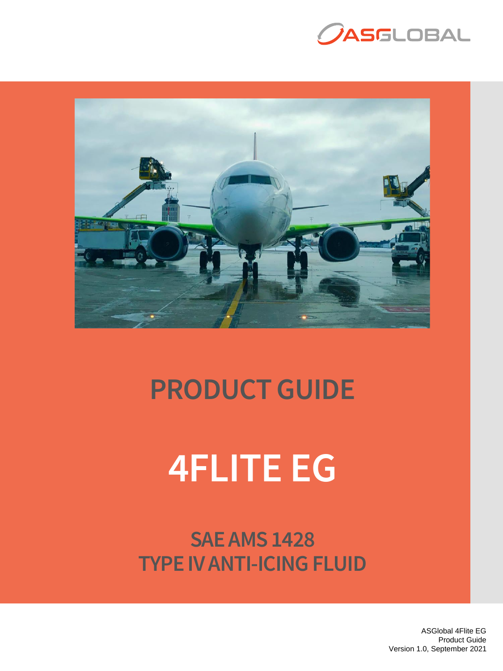



## **PRODUCT GUIDE**

# **4FLITE EG**

**SAE AMS 1428 TYPE IV ANTI-ICING FLUID**

> ASGlobal 4Flite EG Product Guide Version 1.0, September 2021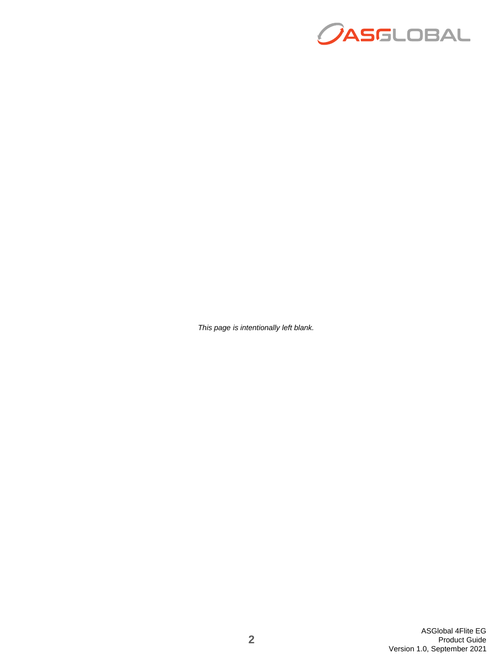

*This page is intentionally left blank.*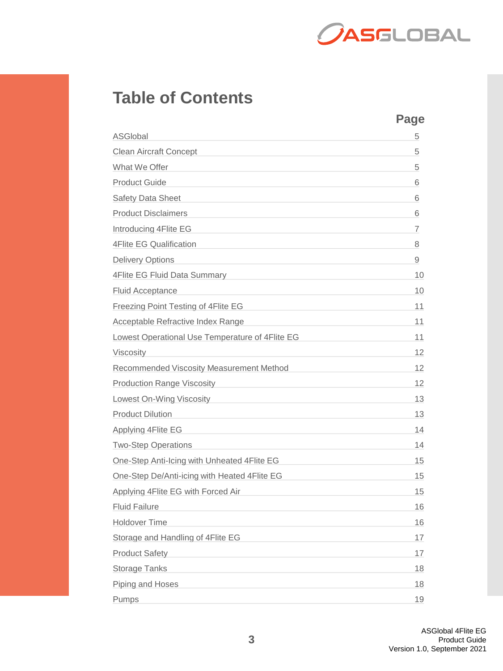

## **Table of Contents**

|                                                 | <b>Page</b> |
|-------------------------------------------------|-------------|
| ASGlobal                                        | 5           |
| <b>Clean Aircraft Concept</b>                   | 5           |
| What We Offer                                   | 5           |
| <b>Product Guide</b>                            | 6           |
| <b>Safety Data Sheet</b>                        | 6           |
| <b>Product Disclaimers</b>                      | 6           |
| Introducing 4Flite EG                           | 7           |
| 4Flite EG Qualification                         | 8           |
| <b>Delivery Options</b>                         | 9           |
| 4Flite EG Fluid Data Summary                    | 10          |
| <b>Fluid Acceptance</b>                         | 10          |
| Freezing Point Testing of 4Flite EG             | 11          |
| Acceptable Refractive Index Range               | 11          |
| Lowest Operational Use Temperature of 4Flite EG | 11          |
| Viscosity                                       | 12          |
| Recommended Viscosity Measurement Method        | 12          |
| <b>Production Range Viscosity</b>               | 12          |
| Lowest On-Wing Viscosity                        | 13          |
| <b>Product Dilution</b>                         | 13          |
| Applying 4Flite EG                              | 14          |
| <b>Two-Step Operations</b>                      | 14          |
| One-Step Anti-Icing with Unheated 4Flite EG     | 15          |
| One-Step De/Anti-icing with Heated 4Flite EG    | 15          |
| Applying 4Flite EG with Forced Air              | 15          |
| <b>Fluid Failure</b>                            | 16          |
| Holdover Time                                   | 16          |
| Storage and Handling of 4Flite EG               | 17          |
| <b>Product Safety</b>                           | 17          |
| <b>Storage Tanks</b>                            | 18          |
| Piping and Hoses                                | 18          |
| Pumps                                           | 19          |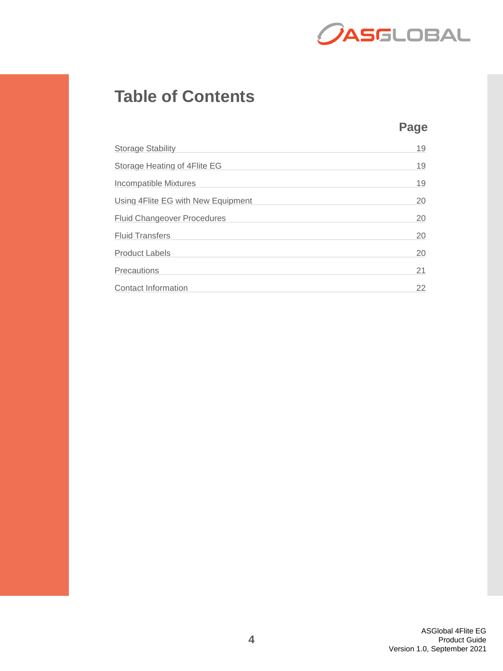

## **Table of Contents**

#### **Page**

| <b>Storage Stability</b>           | 19 |
|------------------------------------|----|
| Storage Heating of 4Flite EG       | 19 |
| Incompatible Mixtures              | 19 |
| Using 4Flite EG with New Equipment | 20 |
| <b>Fluid Changeover Procedures</b> | 20 |
| <b>Fluid Transfers</b>             | 20 |
| <b>Product Labels</b>              | 20 |
| Precautions                        | 21 |
| Contact Information                | 22 |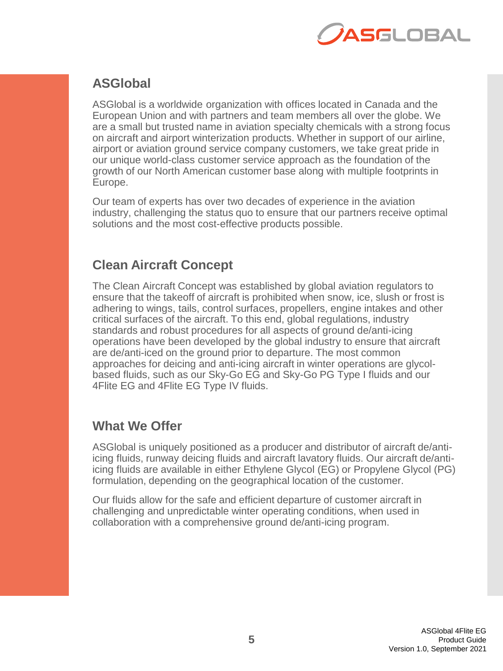

## **ASGlobal**

ASGlobal is a worldwide organization with offices located in Canada and the European Union and with partners and team members all over the globe. We are a small but trusted name in aviation specialty chemicals with a strong focus on aircraft and airport winterization products. Whether in support of our airline, airport or aviation ground service company customers, we take great pride in our unique world-class customer service approach as the foundation of the growth of our North American customer base along with multiple footprints in Europe.

Our team of experts has over two decades of experience in the aviation industry, challenging the status quo to ensure that our partners receive optimal solutions and the most cost-effective products possible.

## **Clean Aircraft Concept**

The Clean Aircraft Concept was established by global aviation regulators to ensure that the takeoff of aircraft is prohibited when snow, ice, slush or frost is adhering to wings, tails, control surfaces, propellers, engine intakes and other critical surfaces of the aircraft. To this end, global regulations, industry standards and robust procedures for all aspects of ground de/anti-icing operations have been developed by the global industry to ensure that aircraft are de/anti-iced on the ground prior to departure. The most common approaches for deicing and anti-icing aircraft in winter operations are glycolbased fluids, such as our Sky-Go EG and Sky-Go PG Type I fluids and our 4Flite EG and 4Flite EG Type IV fluids.

#### **What We Offer**

ASGlobal is uniquely positioned as a producer and distributor of aircraft de/antiicing fluids, runway deicing fluids and aircraft lavatory fluids. Our aircraft de/antiicing fluids are available in either Ethylene Glycol (EG) or Propylene Glycol (PG) formulation, depending on the geographical location of the customer.

Our fluids allow for the safe and efficient departure of customer aircraft in challenging and unpredictable winter operating conditions, when used in collaboration with a comprehensive ground de/anti-icing program.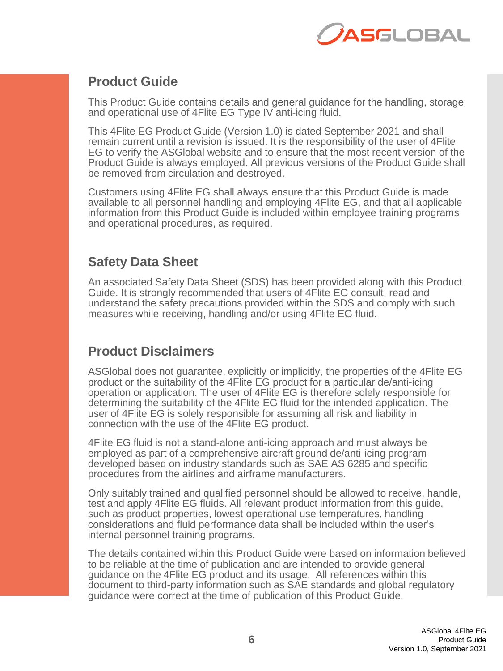

#### **Product Guide**

This Product Guide contains details and general guidance for the handling, storage and operational use of 4Flite EG Type IV anti-icing fluid.

This 4Flite EG Product Guide (Version 1.0) is dated September 2021 and shall remain current until a revision is issued. It is the responsibility of the user of 4Flite EG to verify the ASGlobal website and to ensure that the most recent version of the Product Guide is always employed. All previous versions of the Product Guide shall be removed from circulation and destroyed.

Customers using 4Flite EG shall always ensure that this Product Guide is made available to all personnel handling and employing 4Flite EG, and that all applicable information from this Product Guide is included within employee training programs and operational procedures, as required.

#### **Safety Data Sheet**

An associated Safety Data Sheet (SDS) has been provided along with this Product Guide. It is strongly recommended that users of 4Flite EG consult, read and understand the safety precautions provided within the SDS and comply with such measures while receiving, handling and/or using 4Flite EG fluid.

#### **Product Disclaimers**

ASGlobal does not guarantee, explicitly or implicitly, the properties of the 4Flite EG product or the suitability of the 4Flite EG product for a particular de/anti-icing operation or application. The user of 4Flite EG is therefore solely responsible for determining the suitability of the 4Flite EG fluid for the intended application. The user of 4Flite EG is solely responsible for assuming all risk and liability in connection with the use of the 4Flite EG product.

4Flite EG fluid is not a stand-alone anti-icing approach and must always be employed as part of a comprehensive aircraft ground de/anti-icing program developed based on industry standards such as SAE AS 6285 and specific procedures from the airlines and airframe manufacturers.

Only suitably trained and qualified personnel should be allowed to receive, handle, test and apply 4Flite EG fluids. All relevant product information from this guide, such as product properties, lowest operational use temperatures, handling considerations and fluid performance data shall be included within the user's internal personnel training programs.

The details contained within this Product Guide were based on information believed to be reliable at the time of publication and are intended to provide general guidance on the 4Flite EG product and its usage. All references within this document to third-party information such as SAE standards and global regulatory guidance were correct at the time of publication of this Product Guide.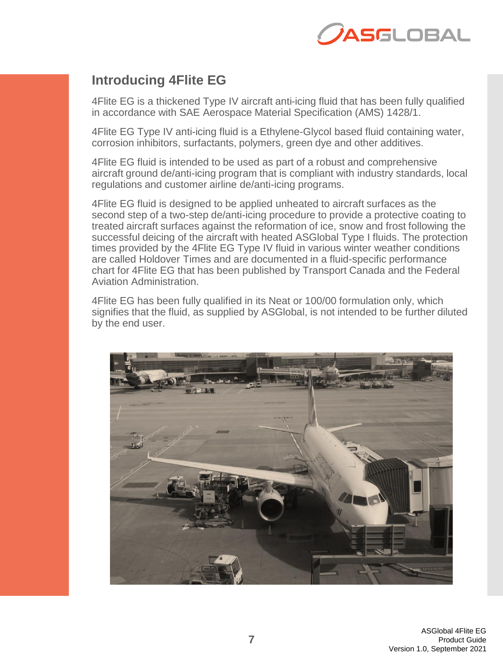

## **Introducing 4Flite EG**

4Flite EG is a thickened Type IV aircraft anti-icing fluid that has been fully qualified in accordance with SAE Aerospace Material Specification (AMS) 1428/1.

4Flite EG Type IV anti-icing fluid is a Ethylene-Glycol based fluid containing water, corrosion inhibitors, surfactants, polymers, green dye and other additives.

4Flite EG fluid is intended to be used as part of a robust and comprehensive aircraft ground de/anti-icing program that is compliant with industry standards, local regulations and customer airline de/anti-icing programs.

4Flite EG fluid is designed to be applied unheated to aircraft surfaces as the second step of a two-step de/anti-icing procedure to provide a protective coating to treated aircraft surfaces against the reformation of ice, snow and frost following the successful deicing of the aircraft with heated ASGlobal Type I fluids. The protection times provided by the 4Flite EG Type IV fluid in various winter weather conditions are called Holdover Times and are documented in a fluid-specific performance chart for 4Flite EG that has been published by Transport Canada and the Federal Aviation Administration.

4Flite EG has been fully qualified in its Neat or 100/00 formulation only, which signifies that the fluid, as supplied by ASGlobal, is not intended to be further diluted by the end user.

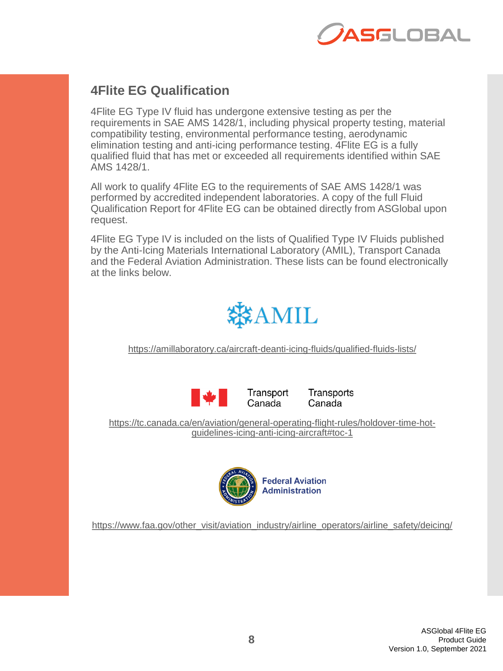

#### **4Flite EG Qualification**

4Flite EG Type IV fluid has undergone extensive testing as per the requirements in SAE AMS 1428/1, including physical property testing, material compatibility testing, environmental performance testing, aerodynamic elimination testing and anti-icing performance testing. 4Flite EG is a fully qualified fluid that has met or exceeded all requirements identified within SAE AMS 1428/1.

All work to qualify 4Flite EG to the requirements of SAE AMS 1428/1 was performed by accredited independent laboratories. A copy of the full Fluid Qualification Report for 4Flite EG can be obtained directly from ASGlobal upon request.

4Flite EG Type IV is included on the lists of Qualified Type IV Fluids published by the Anti-Icing Materials International Laboratory (AMIL), Transport Canada and the Federal Aviation Administration. These lists can be found electronically at the links below.



<https://amillaboratory.ca/aircraft-deanti-icing-fluids/qualified-fluids-lists/>



Transport Transports Canada Canada

[https://tc.canada.ca/en/aviation/general-operating-flight-rules/holdover-time-hot](https://tc.canada.ca/en/aviation/general-operating-flight-rules/holdover-time-hot-guidelines-icing-anti-icing-aircraft#toc-1)guidelines-icing-anti-icing-aircraft#toc-1



[https://www.faa.gov/other\\_visit/aviation\\_industry/airline\\_operators/airline\\_safety/deicing/](http://www.faa.gov/other_visit/aviation_industry/airline_operators/airline_safety/deicing)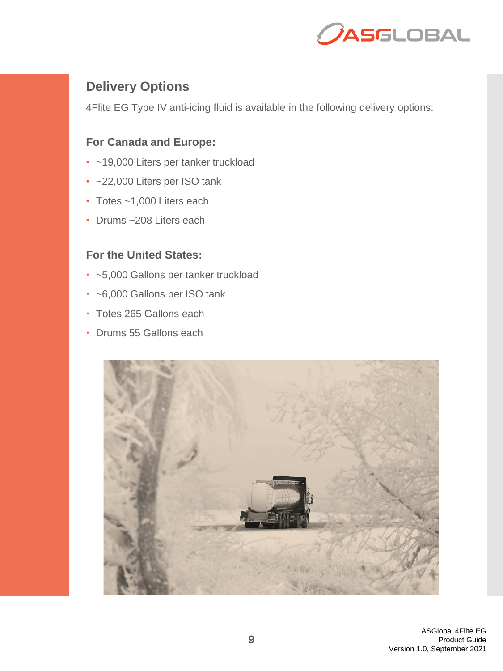

#### **Delivery Options**

4Flite EG Type IV anti-icing fluid is available in the following delivery options:

#### **For Canada and Europe:**

- ~19,000 Liters per tanker truckload
- ~22,000 Liters per ISO tank
- Totes ~1,000 Liters each
- Drums ~208 Liters each

#### **For the United States:**

- ~5,000 Gallons per tanker truckload
- ~6,000 Gallons per ISO tank
- Totes 265 Gallons each
- Drums 55 Gallons each

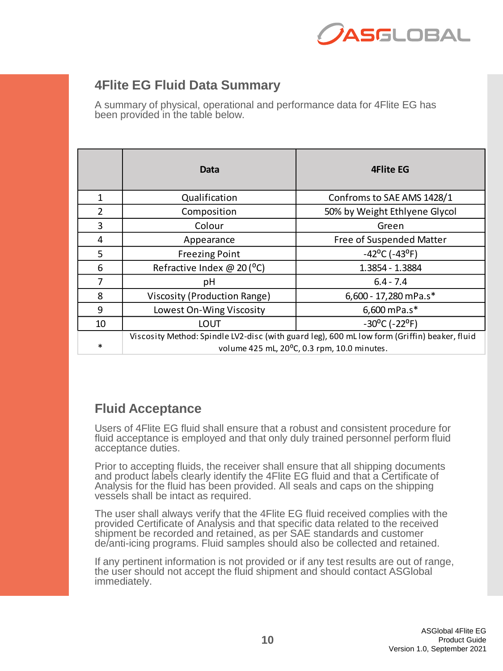

#### **4Flite EG Fluid Data Summary**

A summary of physical, operational and performance data for 4Flite EG has been provided in the table below.

|                         | Data                                                                                                                                        | 4Flite EG                                    |
|-------------------------|---------------------------------------------------------------------------------------------------------------------------------------------|----------------------------------------------|
| 1                       | Qualification                                                                                                                               | Confroms to SAE AMS 1428/1                   |
| $\overline{\mathbf{2}}$ | Composition                                                                                                                                 | 50% by Weight Ethlyene Glycol                |
| 3                       | Colour                                                                                                                                      | Green                                        |
| 4                       | Appearance                                                                                                                                  | Free of Suspended Matter                     |
| 5                       | <b>Freezing Point</b>                                                                                                                       | $-42$ <sup>o</sup> C ( $-43$ <sup>o</sup> F) |
| 6                       | Refractive Index @ 20 (°C)                                                                                                                  | 1.3854 - 1.3884                              |
| 7                       | pH                                                                                                                                          | $6.4 - 7.4$                                  |
| 8                       | Viscosity (Production Range)                                                                                                                | 6,600 - 17,280 mPa.s*                        |
| 9                       | Lowest On-Wing Viscosity                                                                                                                    | 6,600 mPa.s*                                 |
| 10                      | LOUT                                                                                                                                        | $-30^{\circ}$ C ( $-22^{\circ}$ F)           |
|                         | Viscosity Method: Spindle LV2-disc (with guard leg), 600 mL low form (Griffin) beaker, fluid<br>volume 425 mL, 20°C, 0.3 rpm, 10.0 minutes. |                                              |
| $\ast$                  |                                                                                                                                             |                                              |

#### **Fluid Acceptance**

Users of 4Flite EG fluid shall ensure that a robust and consistent procedure for fluid acceptance is employed and that only duly trained personnel perform fluid acceptance duties.

Prior to accepting fluids, the receiver shall ensure that all shipping documents and product labels clearly identify the 4Flite EG fluid and that a Certificate of Analysis for the fluid has been provided. All seals and caps on the shipping vessels shall be intact as required.

The user shall always verify that the 4Flite EG fluid received complies with the provided Certificate of Analysis and that specific data related to the received shipment be recorded and retained, as per SAE standards and customer de/anti-icing programs. Fluid samples should also be collected and retained.

If any pertinent information is not provided or if any test results are out of range, the user should not accept the fluid shipment and should contact ASGlobal immediately.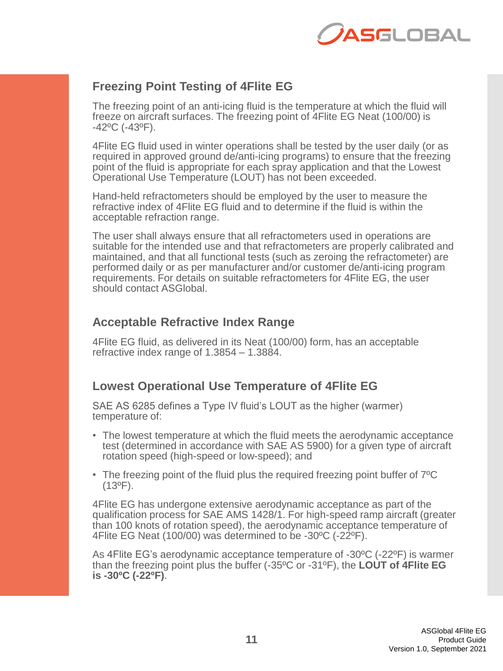

#### **Freezing Point Testing of 4Flite EG**

The freezing point of an anti-icing fluid is the temperature at which the fluid will freeze on aircraft surfaces. The freezing point of 4Flite EG Neat (100/00) is -42ºC (-43ºF).

4Flite EG fluid used in winter operations shall be tested by the user daily (or as required in approved ground de/anti-icing programs) to ensure that the freezing point of the fluid is appropriate for each spray application and that the Lowest Operational Use Temperature (LOUT) has not been exceeded.

Hand-held refractometers should be employed by the user to measure the refractive index of 4Flite EG fluid and to determine if the fluid is within the acceptable refraction range.

The user shall always ensure that all refractometers used in operations are suitable for the intended use and that refractometers are properly calibrated and maintained, and that all functional tests (such as zeroing the refractometer) are performed daily or as per manufacturer and/or customer de/anti-icing program requirements. For details on suitable refractometers for 4Flite EG, the user should contact ASGlobal.

#### **Acceptable Refractive Index Range**

4Flite EG fluid, as delivered in its Neat (100/00) form, has an acceptable refractive index range of 1.3854 – 1.3884.

#### **Lowest Operational Use Temperature of 4Flite EG**

SAE AS 6285 defines a Type IV fluid's LOUT as the higher (warmer) temperature of:

- The lowest temperature at which the fluid meets the aerodynamic acceptance test (determined in accordance with SAE AS 5900) for a given type of aircraft rotation speed (high-speed or low-speed); and
- The freezing point of the fluid plus the required freezing point buffer of 7ºC  $(13^{\circ}F)$ .

4Flite EG has undergone extensive aerodynamic acceptance as part of the qualification process for SAE AMS 1428/1. For high-speed ramp aircraft (greater than 100 knots of rotation speed), the aerodynamic acceptance temperature of 4Flite EG Neat (100/00) was determined to be -30ºC (-22ºF).

As 4Flite EG's aerodynamic acceptance temperature of -30ºC (-22ºF) is warmer than the freezing point plus the buffer (-35ºC or -31ºF), the **LOUT of 4Flite EG is -30ºC (-22ºF)**.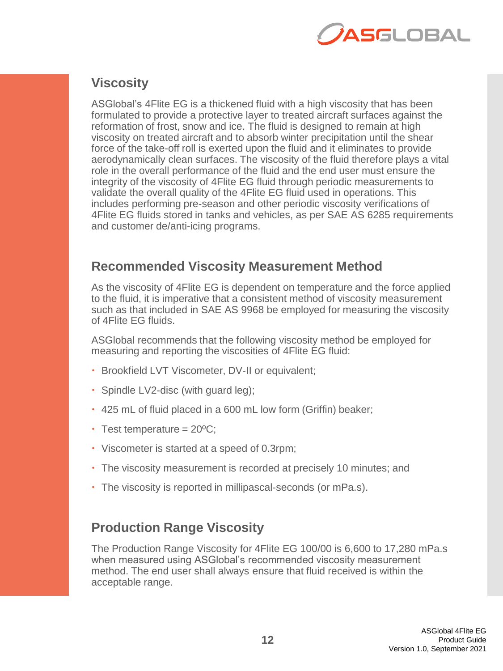

## **Viscosity**

ASGlobal's 4Flite EG is a thickened fluid with a high viscosity that has been formulated to provide a protective layer to treated aircraft surfaces against the reformation of frost, snow and ice. The fluid is designed to remain at high viscosity on treated aircraft and to absorb winter precipitation until the shear force of the take-off roll is exerted upon the fluid and it eliminates to provide aerodynamically clean surfaces. The viscosity of the fluid therefore plays a vital role in the overall performance of the fluid and the end user must ensure the integrity of the viscosity of 4Flite EG fluid through periodic measurements to validate the overall quality of the 4Flite EG fluid used in operations. This includes performing pre-season and other periodic viscosity verifications of 4Flite EG fluids stored in tanks and vehicles, as per SAE AS 6285 requirements and customer de/anti-icing programs.

#### **Recommended Viscosity Measurement Method**

As the viscosity of 4Flite EG is dependent on temperature and the force applied to the fluid, it is imperative that a consistent method of viscosity measurement such as that included in SAE AS 9968 be employed for measuring the viscosity of 4Flite EG fluids.

ASGlobal recommends that the following viscosity method be employed for measuring and reporting the viscosities of 4Flite EG fluid:

- Brookfield LVT Viscometer, DV-II or equivalent;
- Spindle LV2-disc (with guard leg);
- 425 mL of fluid placed in a 600 mL low form (Griffin) beaker;
- $\cdot$  Test temperature = 20 $^{\circ}$ C;
- Viscometer is started at a speed of 0.3rpm;
- The viscosity measurement is recorded at precisely 10 minutes; and
- The viscosity is reported in millipascal-seconds (or mPa.s).

#### **Production Range Viscosity**

The Production Range Viscosity for 4Flite EG 100/00 is 6,600 to 17,280 mPa.s when measured using ASGlobal's recommended viscosity measurement method. The end user shall always ensure that fluid received is within the acceptable range.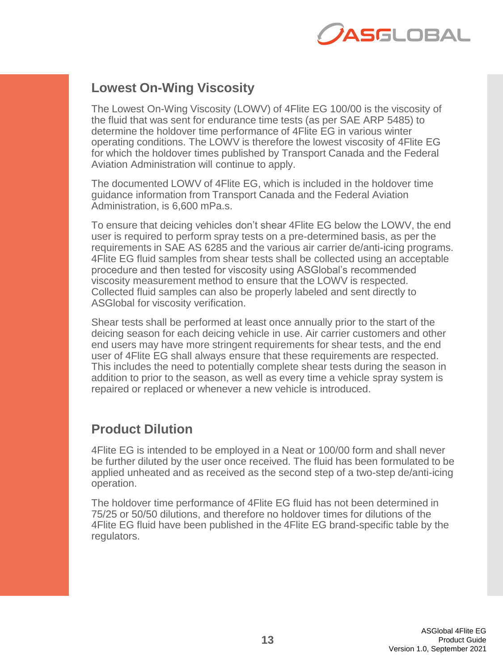

#### **Lowest On-Wing Viscosity**

The Lowest On-Wing Viscosity (LOWV) of 4Flite EG 100/00 is the viscosity of the fluid that was sent for endurance time tests (as per SAE ARP 5485) to determine the holdover time performance of 4Flite EG in various winter operating conditions. The LOWV is therefore the lowest viscosity of 4Flite EG for which the holdover times published by Transport Canada and the Federal Aviation Administration will continue to apply.

The documented LOWV of 4Flite EG, which is included in the holdover time guidance information from Transport Canada and the Federal Aviation Administration, is 6,600 mPa.s.

To ensure that deicing vehicles don't shear 4Flite EG below the LOWV, the end user is required to perform spray tests on a pre-determined basis, as per the requirements in SAE AS 6285 and the various air carrier de/anti-icing programs. 4Flite EG fluid samples from shear tests shall be collected using an acceptable procedure and then tested for viscosity using ASGlobal's recommended viscosity measurement method to ensure that the LOWV is respected. Collected fluid samples can also be properly labeled and sent directly to ASGlobal for viscosity verification.

Shear tests shall be performed at least once annually prior to the start of the deicing season for each deicing vehicle in use. Air carrier customers and other end users may have more stringent requirements for shear tests, and the end user of 4Flite EG shall always ensure that these requirements are respected. This includes the need to potentially complete shear tests during the season in addition to prior to the season, as well as every time a vehicle spray system is repaired or replaced or whenever a new vehicle is introduced.

#### **Product Dilution**

4Flite EG is intended to be employed in a Neat or 100/00 form and shall never be further diluted by the user once received. The fluid has been formulated to be applied unheated and as received as the second step of a two-step de/anti-icing operation.

The holdover time performance of 4Flite EG fluid has not been determined in 75/25 or 50/50 dilutions, and therefore no holdover times for dilutions of the 4Flite EG fluid have been published in the 4Flite EG brand-specific table by the regulators.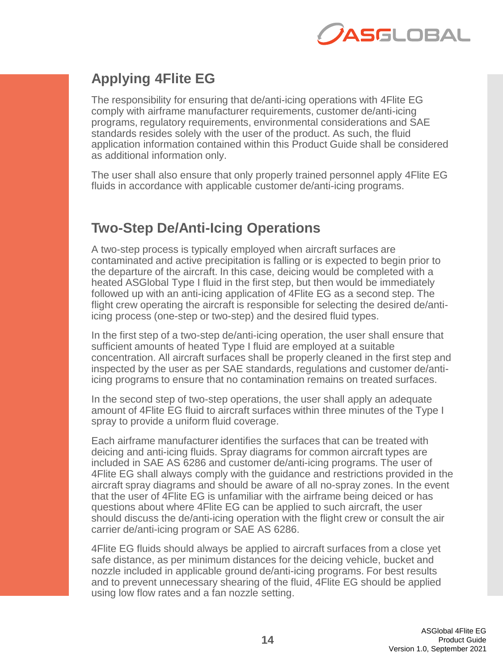

## **Applying 4Flite EG**

The responsibility for ensuring that de/anti-icing operations with 4Flite EG comply with airframe manufacturer requirements, customer de/anti-icing programs, regulatory requirements, environmental considerations and SAE standards resides solely with the user of the product. As such, the fluid application information contained within this Product Guide shall be considered as additional information only.

The user shall also ensure that only properly trained personnel apply 4Flite EG fluids in accordance with applicable customer de/anti-icing programs.

## **Two-Step De/Anti-Icing Operations**

A two-step process is typically employed when aircraft surfaces are contaminated and active precipitation is falling or is expected to begin prior to the departure of the aircraft. In this case, deicing would be completed with a heated ASGlobal Type I fluid in the first step, but then would be immediately followed up with an anti-icing application of 4Flite EG as a second step. The flight crew operating the aircraft is responsible for selecting the desired de/antiicing process (one-step or two-step) and the desired fluid types.

In the first step of a two-step de/anti-icing operation, the user shall ensure that sufficient amounts of heated Type I fluid are employed at a suitable concentration. All aircraft surfaces shall be properly cleaned in the first step and inspected by the user as per SAE standards, regulations and customer de/antiicing programs to ensure that no contamination remains on treated surfaces.

In the second step of two-step operations, the user shall apply an adequate amount of 4Flite EG fluid to aircraft surfaces within three minutes of the Type I spray to provide a uniform fluid coverage.

Each airframe manufacturer identifies the surfaces that can be treated with deicing and anti-icing fluids. Spray diagrams for common aircraft types are included in SAE AS 6286 and customer de/anti-icing programs. The user of 4Flite EG shall always comply with the guidance and restrictions provided in the aircraft spray diagrams and should be aware of all no-spray zones. In the event that the user of 4Flite EG is unfamiliar with the airframe being deiced or has questions about where 4Flite EG can be applied to such aircraft, the user should discuss the de/anti-icing operation with the flight crew or consult the air carrier de/anti-icing program or SAE AS 6286.

4Flite EG fluids should always be applied to aircraft surfaces from a close yet safe distance, as per minimum distances for the deicing vehicle, bucket and nozzle included in applicable ground de/anti-icing programs. For best results and to prevent unnecessary shearing of the fluid, 4Flite EG should be applied using low flow rates and a fan nozzle setting.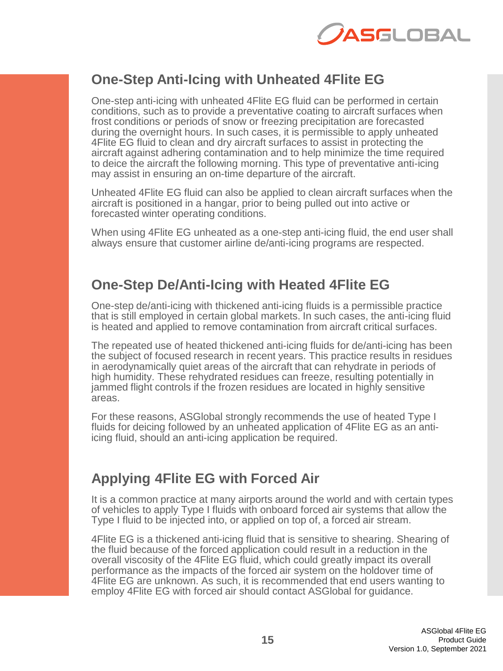

## **One-Step Anti-Icing with Unheated 4Flite EG**

One-step anti-icing with unheated 4Flite EG fluid can be performed in certain conditions, such as to provide a preventative coating to aircraft surfaces when frost conditions or periods of snow or freezing precipitation are forecasted during the overnight hours. In such cases, it is permissible to apply unheated 4Flite EG fluid to clean and dry aircraft surfaces to assist in protecting the aircraft against adhering contamination and to help minimize the time required to deice the aircraft the following morning. This type of preventative anti-icing may assist in ensuring an on-time departure of the aircraft.

Unheated 4Flite EG fluid can also be applied to clean aircraft surfaces when the aircraft is positioned in a hangar, prior to being pulled out into active or forecasted winter operating conditions.

When using 4Flite EG unheated as a one-step anti-icing fluid, the end user shall always ensure that customer airline de/anti-icing programs are respected.

## **One-Step De/Anti-Icing with Heated 4Flite EG**

One-step de/anti-icing with thickened anti-icing fluids is a permissible practice that is still employed in certain global markets. In such cases, the anti-icing fluid is heated and applied to remove contamination from aircraft critical surfaces.

The repeated use of heated thickened anti-icing fluids for de/anti-icing has been the subject of focused research in recent years. This practice results in residues in aerodynamically quiet areas of the aircraft that can rehydrate in periods of high humidity. These rehydrated residues can freeze, resulting potentially in jammed flight controls if the frozen residues are located in highly sensitive areas.

For these reasons, ASGlobal strongly recommends the use of heated Type I fluids for deicing followed by an unheated application of 4Flite EG as an antiicing fluid, should an anti-icing application be required.

## **Applying 4Flite EG with Forced Air**

It is a common practice at many airports around the world and with certain types of vehicles to apply Type I fluids with onboard forced air systems that allow the Type I fluid to be injected into, or applied on top of, a forced air stream.

4Flite EG is a thickened anti-icing fluid that is sensitive to shearing. Shearing of the fluid because of the forced application could result in a reduction in the overall viscosity of the 4Flite EG fluid, which could greatly impact its overall performance as the impacts of the forced air system on the holdover time of 4Flite EG are unknown. As such, it is recommended that end users wanting to employ 4Flite EG with forced air should contact ASGlobal for guidance.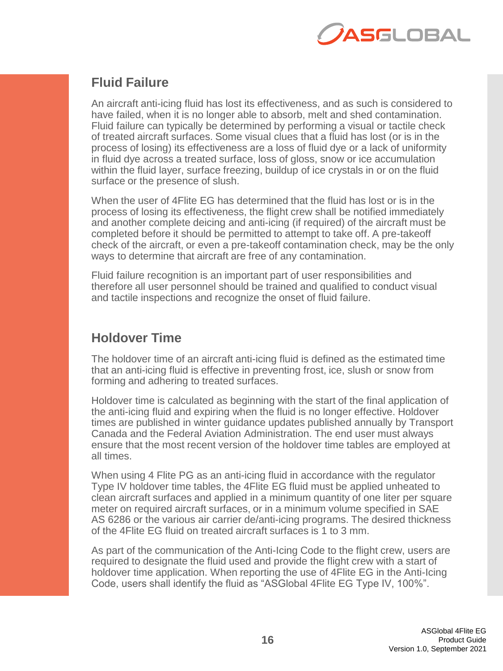

#### **Fluid Failure**

An aircraft anti-icing fluid has lost its effectiveness, and as such is considered to have failed, when it is no longer able to absorb, melt and shed contamination. Fluid failure can typically be determined by performing a visual or tactile check of treated aircraft surfaces. Some visual clues that a fluid has lost (or is in the process of losing) its effectiveness are a loss of fluid dye or a lack of uniformity in fluid dye across a treated surface, loss of gloss, snow or ice accumulation within the fluid layer, surface freezing, buildup of ice crystals in or on the fluid surface or the presence of slush.

When the user of 4Flite EG has determined that the fluid has lost or is in the process of losing its effectiveness, the flight crew shall be notified immediately and another complete deicing and anti-icing (if required) of the aircraft must be completed before it should be permitted to attempt to take off. A pre-takeoff check of the aircraft, or even a pre-takeoff contamination check, may be the only ways to determine that aircraft are free of any contamination.

Fluid failure recognition is an important part of user responsibilities and therefore all user personnel should be trained and qualified to conduct visual and tactile inspections and recognize the onset of fluid failure.

#### **Holdover Time**

The holdover time of an aircraft anti-icing fluid is defined as the estimated time that an anti-icing fluid is effective in preventing frost, ice, slush or snow from forming and adhering to treated surfaces.

Holdover time is calculated as beginning with the start of the final application of the anti-icing fluid and expiring when the fluid is no longer effective. Holdover times are published in winter guidance updates published annually by Transport Canada and the Federal Aviation Administration. The end user must always ensure that the most recent version of the holdover time tables are employed at all times.

When using 4 Flite PG as an anti-icing fluid in accordance with the regulator Type IV holdover time tables, the 4Flite EG fluid must be applied unheated to clean aircraft surfaces and applied in a minimum quantity of one liter per square meter on required aircraft surfaces, or in a minimum volume specified in SAE AS 6286 or the various air carrier de/anti-icing programs. The desired thickness of the 4Flite EG fluid on treated aircraft surfaces is 1 to 3 mm.

As part of the communication of the Anti-Icing Code to the flight crew, users are required to designate the fluid used and provide the flight crew with a start of holdover time application. When reporting the use of 4Flite EG in the Anti-Icing Code, users shall identify the fluid as "ASGlobal 4Flite EG Type IV, 100%".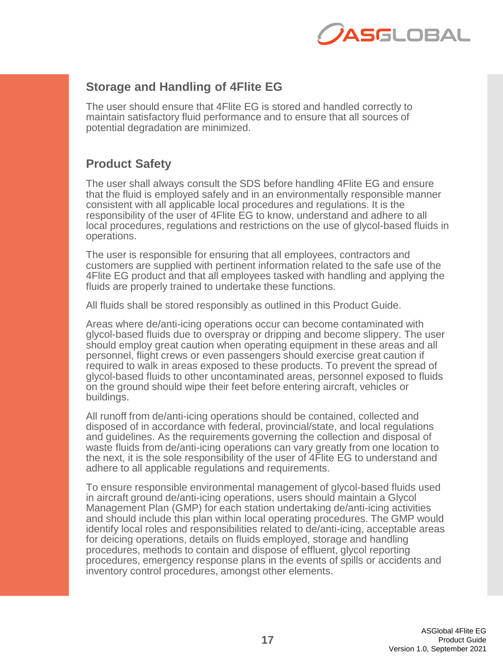

#### **Storage and Handling of 4Flite EG**

The user should ensure that 4Flite EG is stored and handled correctly to maintain satisfactory fluid performance and to ensure that all sources of potential degradation are minimized.

#### **Product Safety**

The user shall always consult the SDS before handling 4Flite EG and ensure that the fluid is employed safely and in an environmentally responsible manner consistent with all applicable local procedures and regulations. It is the responsibility of the user of 4Flite EG to know, understand and adhere to all local procedures, regulations and restrictions on the use of glycol-based fluids in operations.

The user is responsible for ensuring that all employees, contractors and customers are supplied with pertinent information related to the safe use of the 4Flite EG product and that all employees tasked with handling and applying the fluids are properly trained to undertake these functions.

All fluids shall be stored responsibly as outlined in this Product Guide.

Areas where de/anti-icing operations occur can become contaminated with glycol-based fluids due to overspray or dripping and become slippery. The user should employ great caution when operating equipment in these areas and all personnel, flight crews or even passengers should exercise great caution if required to walk in areas exposed to these products. To prevent the spread of glycol-based fluids to other uncontaminated areas, personnel exposed to fluids on the ground should wipe their feet before entering aircraft, vehicles or buildings.

All runoff from de/anti-icing operations should be contained, collected and disposed of in accordance with federal, provincial/state, and local regulations and guidelines. As the requirements governing the collection and disposal of waste fluids from de/anti-icing operations can vary greatly from one location to the next, it is the sole responsibility of the user of 4Flite EG to understand and adhere to all applicable regulations and requirements.

To ensure responsible environmental management of glycol-based fluids used in aircraft ground de/anti-icing operations, users should maintain a Glycol Management Plan (GMP) for each station undertaking de/anti-icing activities and should include this plan within local operating procedures. The GMP would identify local roles and responsibilities related to de/anti-icing, acceptable areas for deicing operations, details on fluids employed, storage and handling procedures, methods to contain and dispose of effluent, glycol reporting procedures, emergency response plans in the events of spills or accidents and inventory control procedures, amongst other elements.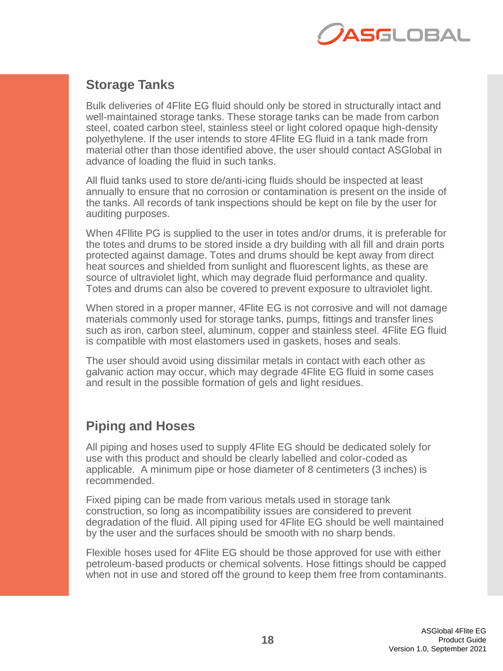

#### **Storage Tanks**

Bulk deliveries of 4Flite EG fluid should only be stored in structurally intact and well-maintained storage tanks. These storage tanks can be made from carbon steel, coated carbon steel, stainless steel or light colored opaque high-density polyethylene. If the user intends to store 4Flite EG fluid in a tank made from material other than those identified above, the user should contact ASGlobal in advance of loading the fluid in such tanks.

All fluid tanks used to store de/anti-icing fluids should be inspected at least annually to ensure that no corrosion or contamination is present on the inside of the tanks. All records of tank inspections should be kept on file by the user for auditing purposes.

When 4Fllite PG is supplied to the user in totes and/or drums, it is preferable for the totes and drums to be stored inside a dry building with all fill and drain ports protected against damage. Totes and drums should be kept away from direct heat sources and shielded from sunlight and fluorescent lights, as these are source of ultraviolet light, which may degrade fluid performance and quality. Totes and drums can also be covered to prevent exposure to ultraviolet light.

When stored in a proper manner, 4Flite EG is not corrosive and will not damage materials commonly used for storage tanks, pumps, fittings and transfer lines such as iron, carbon steel, aluminum, copper and stainless steel. 4Flite EG fluid is compatible with most elastomers used in gaskets, hoses and seals.

The user should avoid using dissimilar metals in contact with each other as galvanic action may occur, which may degrade 4Flite EG fluid in some cases and result in the possible formation of gels and light residues.

#### **Piping and Hoses**

All piping and hoses used to supply 4Flite EG should be dedicated solely for use with this product and should be clearly labelled and color-coded as applicable. A minimum pipe or hose diameter of 8 centimeters (3 inches) is recommended.

Fixed piping can be made from various metals used in storage tank construction, so long as incompatibility issues are considered to prevent degradation of the fluid. All piping used for 4Flite EG should be well maintained by the user and the surfaces should be smooth with no sharp bends.

Flexible hoses used for 4Flite EG should be those approved for use with either petroleum-based products or chemical solvents. Hose fittings should be capped when not in use and stored off the ground to keep them free from contaminants.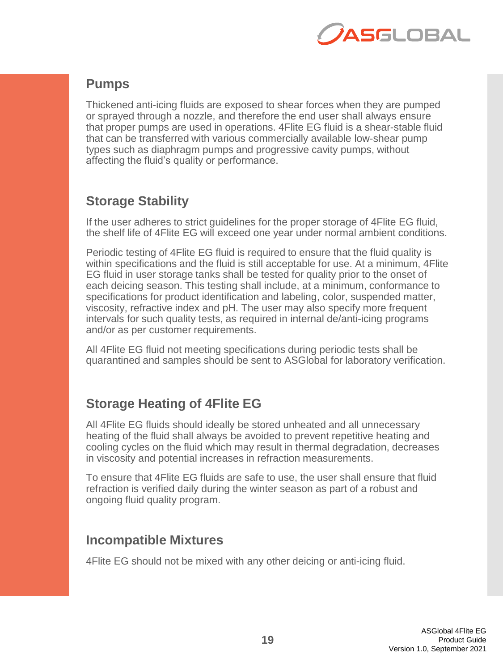

#### **Pumps**

Thickened anti-icing fluids are exposed to shear forces when they are pumped or sprayed through a nozzle, and therefore the end user shall always ensure that proper pumps are used in operations. 4Flite EG fluid is a shear-stable fluid that can be transferred with various commercially available low-shear pump types such as diaphragm pumps and progressive cavity pumps, without affecting the fluid's quality or performance.

#### **Storage Stability**

If the user adheres to strict guidelines for the proper storage of 4Flite EG fluid, the shelf life of 4Flite EG will exceed one year under normal ambient conditions.

Periodic testing of 4Flite EG fluid is required to ensure that the fluid quality is within specifications and the fluid is still acceptable for use. At a minimum, 4Flite EG fluid in user storage tanks shall be tested for quality prior to the onset of each deicing season. This testing shall include, at a minimum, conformance to specifications for product identification and labeling, color, suspended matter, viscosity, refractive index and pH. The user may also specify more frequent intervals for such quality tests, as required in internal de/anti-icing programs and/or as per customer requirements.

All 4Flite EG fluid not meeting specifications during periodic tests shall be quarantined and samples should be sent to ASGlobal for laboratory verification.

#### **Storage Heating of 4Flite EG**

All 4Flite EG fluids should ideally be stored unheated and all unnecessary heating of the fluid shall always be avoided to prevent repetitive heating and cooling cycles on the fluid which may result in thermal degradation, decreases in viscosity and potential increases in refraction measurements.

To ensure that 4Flite EG fluids are safe to use, the user shall ensure that fluid refraction is verified daily during the winter season as part of a robust and ongoing fluid quality program.

#### **Incompatible Mixtures**

4Flite EG should not be mixed with any other deicing or anti-icing fluid.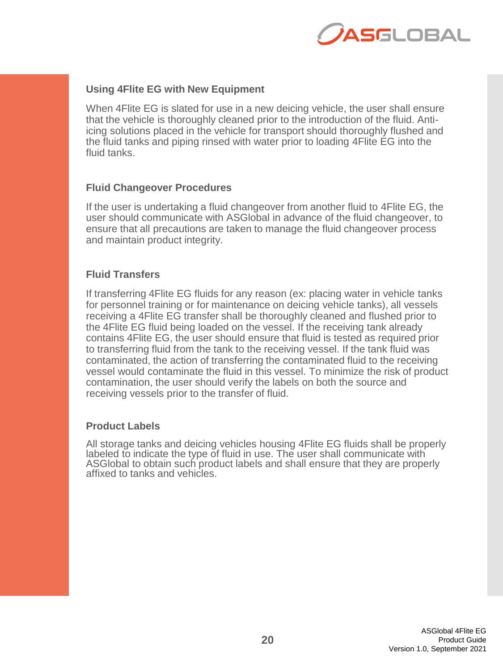

#### **Using 4Flite EG with New Equipment**

When 4Flite EG is slated for use in a new deicing vehicle, the user shall ensure that the vehicle is thoroughly cleaned prior to the introduction of the fluid. Antiicing solutions placed in the vehicle for transport should thoroughly flushed and the fluid tanks and piping rinsed with water prior to loading 4Flite EG into the fluid tanks.

#### **Fluid Changeover Procedures**

If the user is undertaking a fluid changeover from another fluid to 4Flite EG, the user should communicate with ASGlobal in advance of the fluid changeover, to ensure that all precautions are taken to manage the fluid changeover process and maintain product integrity.

#### **Fluid Transfers**

If transferring 4Flite EG fluids for any reason (ex: placing water in vehicle tanks for personnel training or for maintenance on deicing vehicle tanks), all vessels receiving a 4Flite EG transfer shall be thoroughly cleaned and flushed prior to the 4Flite EG fluid being loaded on the vessel. If the receiving tank already contains 4Flite EG, the user should ensure that fluid is tested as required prior to transferring fluid from the tank to the receiving vessel. If the tank fluid was contaminated, the action of transferring the contaminated fluid to the receiving vessel would contaminate the fluid in this vessel. To minimize the risk of product contamination, the user should verify the labels on both the source and receiving vessels prior to the transfer of fluid.

#### **Product Labels**

All storage tanks and deicing vehicles housing 4Flite EG fluids shall be properly labeled to indicate the type of fluid in use. The user shall communicate with ASGlobal to obtain such product labels and shall ensure that they are properly affixed to tanks and vehicles.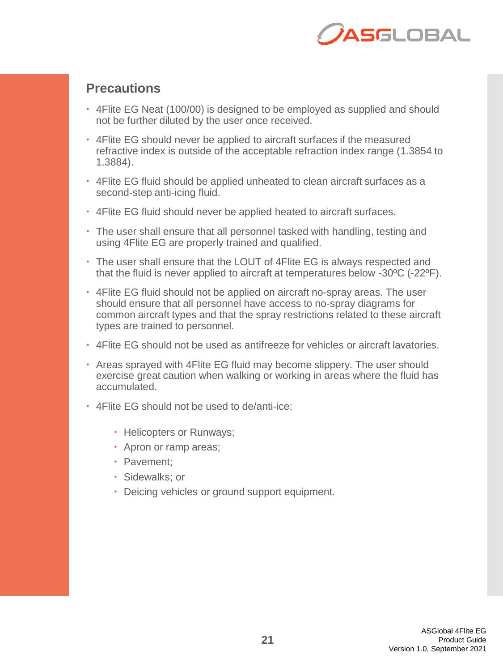

#### **Precautions**

- 4Flite EG Neat (100/00) is designed to be employed as supplied and should not be further diluted by the user once received.
- 4Flite EG should never be applied to aircraft surfaces if the measured refractive index is outside of the acceptable refraction index range (1.3854 to 1.3884).
- 4Flite EG fluid should be applied unheated to clean aircraft surfaces as a second-step anti-icing fluid.
- 4Flite EG fluid should never be applied heated to aircraft surfaces.
- The user shall ensure that all personnel tasked with handling, testing and using 4Flite EG are properly trained and qualified.
- The user shall ensure that the LOUT of 4Flite EG is always respected and that the fluid is never applied to aircraft at temperatures below -30ºC (-22ºF).
- 4Flite EG fluid should not be applied on aircraft no-spray areas. The user should ensure that all personnel have access to no-spray diagrams for common aircraft types and that the spray restrictions related to these aircraft types are trained to personnel.
- 4Flite EG should not be used as antifreeze for vehicles or aircraft lavatories.
- Areas sprayed with 4Flite EG fluid may become slippery. The user should exercise great caution when walking or working in areas where the fluid has accumulated.
- 4Flite EG should not be used to de/anti-ice:
	- Helicopters or Runways;
	- Apron or ramp areas;
	- Pavement:
	- Sidewalks; or
	- Deicing vehicles or ground support equipment.